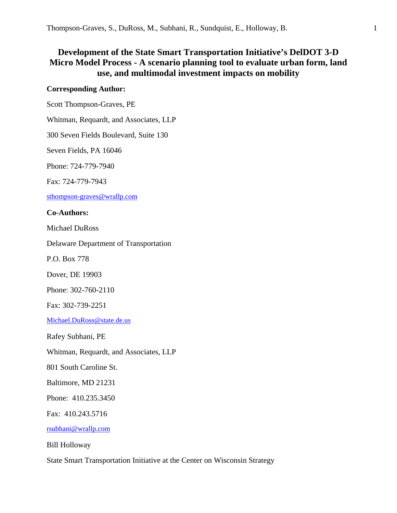# **Development of the State Smart Transportation Initiative's DelDOT 3-D Micro Model Process - A scenario planning tool to evaluate urban form, land use, and multimodal investment impacts on mobility**

### **Corresponding Author:**

Scott Thompson-Graves, PE

Whitman, Requardt, and Associates, LLP

300 Seven Fields Boulevard, Suite 130

Seven Fields, PA 16046

Phone: 724-779-7940

Fax: 724-779-7943

sthompson-graves@wrallp.com

### **Co-Authors:**

Michael DuRoss

Delaware Department of Transportation

P.O. Box 778

Dover, DE 19903

Phone: 302-760-2110

Fax: 302-739-2251

Michael.DuRoss@state.de.us

Rafey Subhani, PE

Whitman, Requardt, and Associates, LLP

801 South Caroline St.

Baltimore, MD 21231

Phone: 410.235.3450

Fax: 410.243.5716

rsubhani@wrallp.com

Bill Holloway

State Smart Transportation Initiative at the Center on Wisconsin Strategy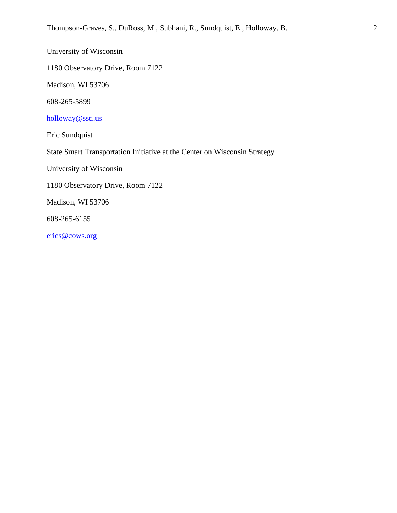University of Wisconsin

1180 Observatory Drive, Room 7122

Madison, WI 53706

608-265-5899

holloway@ssti.us

Eric Sundquist

State Smart Transportation Initiative at the Center on Wisconsin Strategy

University of Wisconsin

1180 Observatory Drive, Room 7122

Madison, WI 53706

608-265-6155

erics@cows.org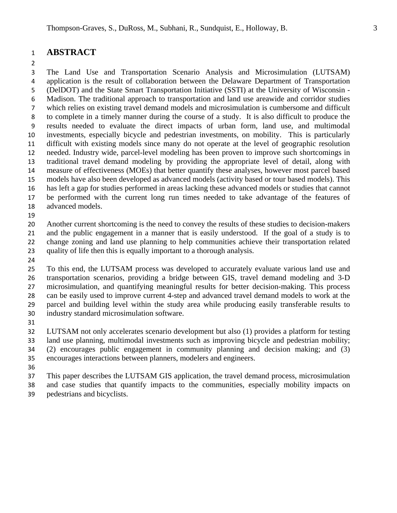### **ABSTRACT**

 The Land Use and Transportation Scenario Analysis and Microsimulation (LUTSAM) application is the result of collaboration between the Delaware Department of Transportation (DelDOT) and the State Smart Transportation Initiative (SSTI) at the University of Wisconsin - Madison. The traditional approach to transportation and land use areawide and corridor studies which relies on existing travel demand models and microsimulation is cumbersome and difficult to complete in a timely manner during the course of a study. It is also difficult to produce the results needed to evaluate the direct impacts of urban form, land use, and multimodal investments, especially bicycle and pedestrian investments, on mobility. This is particularly difficult with existing models since many do not operate at the level of geographic resolution needed. Industry wide, parcel-level modeling has been proven to improve such shortcomings in traditional travel demand modeling by providing the appropriate level of detail, along with measure of effectiveness (MOEs) that better quantify these analyses, however most parcel based models have also been developed as advanced models (activity based or tour based models). This has left a gap for studies performed in areas lacking these advanced models or studies that cannot be performed with the current long run times needed to take advantage of the features of advanced models.

 Another current shortcoming is the need to convey the results of these studies to decision-makers and the public engagement in a manner that is easily understood. If the goal of a study is to

change zoning and land use planning to help communities achieve their transportation related

- quality of life then this is equally important to a thorough analysis.
- 

 To this end, the LUTSAM process was developed to accurately evaluate various land use and transportation scenarios, providing a bridge between GIS, travel demand modeling and 3-D microsimulation, and quantifying meaningful results for better decision-making. This process can be easily used to improve current 4-step and advanced travel demand models to work at the parcel and building level within the study area while producing easily transferable results to industry standard microsimulation software.

 LUTSAM not only accelerates scenario development but also (1) provides a platform for testing land use planning, multimodal investments such as improving bicycle and pedestrian mobility; (2) encourages public engagement in community planning and decision making; and (3) encourages interactions between planners, modelers and engineers.

 This paper describes the LUTSAM GIS application, the travel demand process, microsimulation and case studies that quantify impacts to the communities, especially mobility impacts on pedestrians and bicyclists.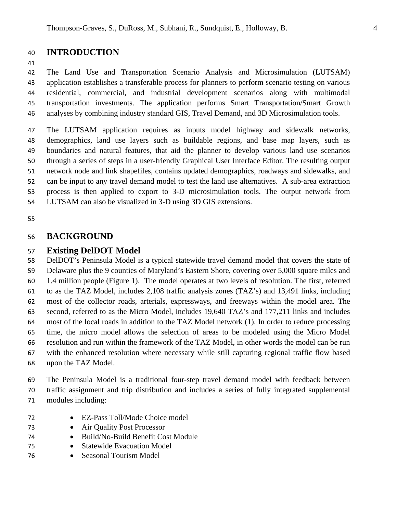## **INTRODUCTION**

 The Land Use and Transportation Scenario Analysis and Microsimulation (LUTSAM) application establishes a transferable process for planners to perform scenario testing on various residential, commercial, and industrial development scenarios along with multimodal transportation investments. The application performs Smart Transportation/Smart Growth analyses by combining industry standard GIS, Travel Demand, and 3D Microsimulation tools.

 The LUTSAM application requires as inputs model highway and sidewalk networks, demographics, land use layers such as buildable regions, and base map layers, such as boundaries and natural features, that aid the planner to develop various land use scenarios through a series of steps in a user-friendly Graphical User Interface Editor. The resulting output network node and link shapefiles, contains updated demographics, roadways and sidewalks, and can be input to any travel demand model to test the land use alternatives. A sub-area extraction process is then applied to export to 3-D microsimulation tools. The output network from LUTSAM can also be visualized in 3-D using 3D GIS extensions.

### **BACKGROUND**

### **Existing DelDOT Model**

 DelDOT's Peninsula Model is a typical statewide travel demand model that covers the state of Delaware plus the 9 counties of Maryland's Eastern Shore, covering over 5,000 square miles and 1.4 million people (Figure 1). The model operates at two levels of resolution. The first, referred to as the TAZ Model, includes 2,108 traffic analysis zones (TAZ's) and 13,491 links, including most of the collector roads, arterials, expressways, and freeways within the model area. The second, referred to as the Micro Model, includes 19,640 TAZ's and 177,211 links and includes most of the local roads in addition to the TAZ Model network (1). In order to reduce processing time, the micro model allows the selection of areas to be modeled using the Micro Model resolution and run within the framework of the TAZ Model, in other words the model can be run with the enhanced resolution where necessary while still capturing regional traffic flow based upon the TAZ Model.

 The Peninsula Model is a traditional four-step travel demand model with feedback between traffic assignment and trip distribution and includes a series of fully integrated supplemental modules including:

- EZ-Pass Toll/Mode Choice model
- Air Quality Post Processor
- Build/No-Build Benefit Cost Module
- Statewide Evacuation Model
- Seasonal Tourism Model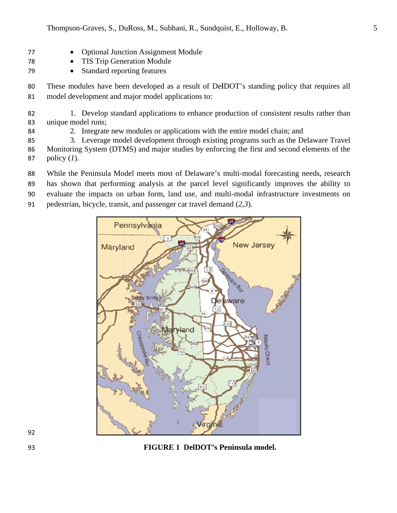- **Optional Junction Assignment Module** 77  $\bullet$
- **TIS Trip Generation Module** 78
- 79  $\bullet$ Standard reporting features

These modules have been developed as a result of DelDOT's standing policy that requires all 80 model development and major model applications to: 81

- 1. Develop standard applications to enhance production of consistent results rather than 82 unique model runs; 83
	- 2. Integrate new modules or applications with the entire model chain; and
- 3. Leverage model development through existing programs such as the Delaware Travel 85 Monitoring System (DTMS) and major studies by enforcing the first and second elements of the 86 87 policy  $(I)$ .
- While the Peninsula Model meets most of Delaware's multi-modal forecasting needs, research 88
- has shown that performing analysis at the parcel level significantly improves the ability to 89
- evaluate the impacts on urban form, land use, and multi-modal infrastructure investments on 90
- pedestrian, bicycle, transit, and passenger car travel demand  $(2,3)$ . 91



### **FIGURE 1 DelDOT's Peninsula model.**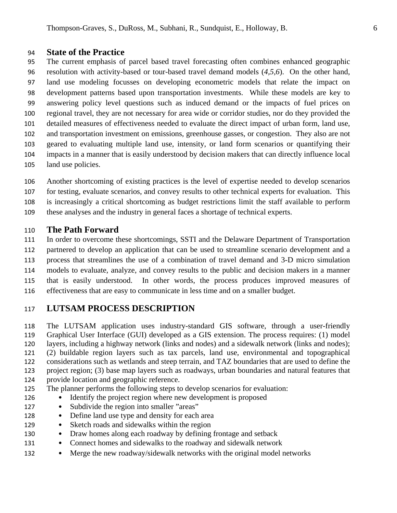### **State of the Practice**

 The current emphasis of parcel based travel forecasting often combines enhanced geographic resolution with activity-based or tour-based travel demand models (*4,5,6*). On the other hand, land use modeling focusses on developing econometric models that relate the impact on development patterns based upon transportation investments. While these models are key to answering policy level questions such as induced demand or the impacts of fuel prices on regional travel, they are not necessary for area wide or corridor studies, nor do they provided the detailed measures of effectiveness needed to evaluate the direct impact of urban form, land use, and transportation investment on emissions, greenhouse gasses, or congestion. They also are not geared to evaluating multiple land use, intensity, or land form scenarios or quantifying their impacts in a manner that is easily understood by decision makers that can directly influence local land use policies.

- Another shortcoming of existing practices is the level of expertise needed to develop scenarios
- for testing, evaluate scenarios, and convey results to other technical experts for evaluation. This
- is increasingly a critical shortcoming as budget restrictions limit the staff available to perform
- these analyses and the industry in general faces a shortage of technical experts.

### **The Path Forward**

 In order to overcome these shortcomings, SSTI and the Delaware Department of Transportation partnered to develop an application that can be used to streamline scenario development and a process that streamlines the use of a combination of travel demand and 3-D micro simulation models to evaluate, analyze, and convey results to the public and decision makers in a manner that is easily understood. In other words, the process produces improved measures of

effectiveness that are easy to communicate in less time and on a smaller budget.

## **LUTSAM PROCESS DESCRIPTION**

 The LUTSAM application uses industry-standard GIS software, through a user-friendly Graphical User Interface (GUI) developed as a GIS extension. The process requires: (1) model layers, including a highway network (links and nodes) and a sidewalk network (links and nodes); (2) buildable region layers such as tax parcels, land use, environmental and topographical considerations such as wetlands and steep terrain, and TAZ boundaries that are used to define the project region; (3) base map layers such as roadways, urban boundaries and natural features that provide location and geographic reference.

- The planner performs the following steps to develop scenarios for evaluation:
- Identify the project region where new development is proposed
- 127 Subdivide the region into smaller "areas"
- 128 Define land use type and density for each area
- Sketch roads and sidewalks within the region
- Draw homes along each roadway by defining frontage and setback
- Connect homes and sidewalks to the roadway and sidewalk network
- Merge the new roadway/sidewalk networks with the original model networks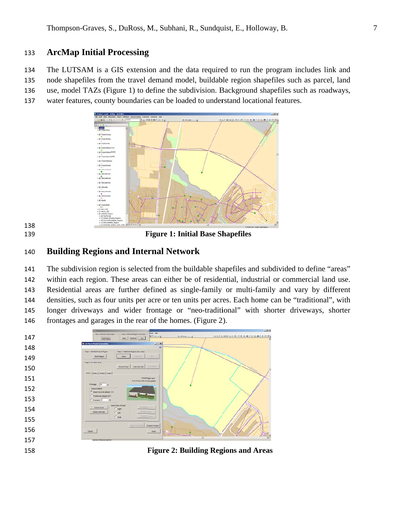#### **ArcMap Initial Processing** 133

The LUTSAM is a GIS extension and the data required to run the program includes link and 134 node shapefiles from the travel demand model, buildable region shapefiles such as parcel, land 135 use, model TAZs (Figure 1) to define the subdivision. Background shapefiles such as roadways, 136

water features, county boundaries can be loaded to understand locational features. 137



138 139

**Figure 1: Initial Base Shapefiles** 

#### **Building Regions and Internal Network** 140

The subdivision region is selected from the buildable shapefiles and subdivided to define "areas" 141 within each region. These areas can either be of residential, industrial or commercial land use. 142 Residential areas are further defined as single-family or multi-family and vary by different 143 densities, such as four units per acre or ten units per acres. Each home can be "traditional", with 144 longer driveways and wider frontage or "neo-traditional" with shorter driveways, shorter 145 frontages and garages in the rear of the homes. (Figure 2). 146

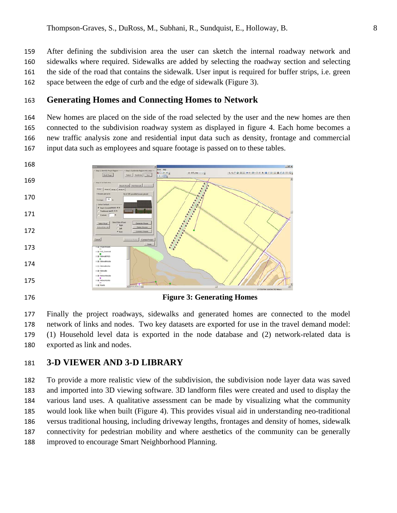After defining the subdivision area the user can sketch the internal roadway network and 159 sidewalks where required. Sidewalks are added by selecting the roadway section and selecting 160 the side of the road that contains the sidewalk. User input is required for buffer strips, i.e. green 161 space between the edge of curb and the edge of sidewalk (Figure 3). 162

#### **Generating Homes and Connecting Homes to Network** 163

New homes are placed on the side of the road selected by the user and the new homes are then 164 connected to the subdivision roadway system as displayed in figure 4. Each home becomes a 165 new traffic analysis zone and residential input data such as density, frontage and commercial 166 input data such as employees and square footage is passed on to these tables. 167



Finally the project roadways, sidewalks and generated homes are connected to the model 177 network of links and nodes. Two key datasets are exported for use in the travel demand model: 178 (1) Household level data is exported in the node database and (2) network-related data is 179 180 exported as link and nodes.

#### **3-D VIEWER AND 3-D LIBRARY** 181

To provide a more realistic view of the subdivision, the subdivision node layer data was saved 182 and imported into 3D viewing software. 3D landform files were created and used to display the 183 various land uses. A qualitative assessment can be made by visualizing what the community 184 would look like when built (Figure 4). This provides visual aid in understanding neo-traditional 185 versus traditional housing, including driveway lengths, frontages and density of homes, sidewalk 186 connectivity for pedestrian mobility and where aesthetics of the community can be generally 187 improved to encourage Smart Neighborhood Planning. 188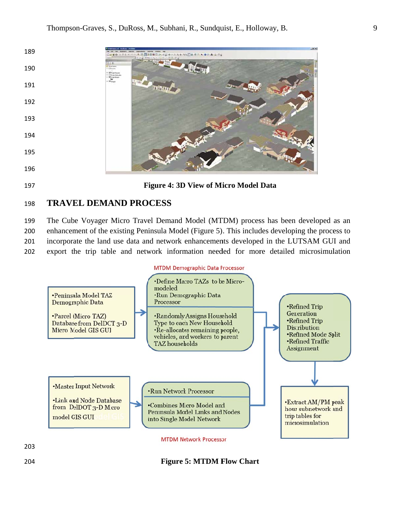

#### **TRAVEL DEMAND PROCESS**

The Cube Voyager Micro Travel Demand Model (MTDM) process has been developed as an enhancement of the existing Peninsula Model (Figure 5). This includes developing the process to incorporate the land use data and network enhancements developed in the LUTSAM GUI and export the trip table and network information needed for more detailed microsimulation 

### **MTDM Demographic Data Processor**



**Figure 5: MTDM Flow Chart**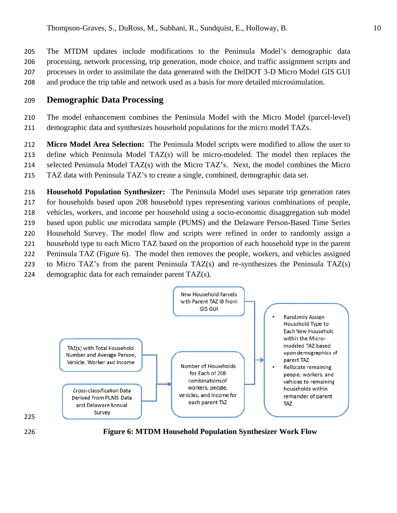The MTDM updates include modifications to the Peninsula Model's demographic data 205 processing, network processing, trip generation, mode choice, and traffic assignment scripts and 206 processes in order to assimilate the data generated with the DelDOT 3-D Micro Model GIS GUI 207 and produce the trip table and network used as a basis for more detailed microsimulation. 208

#### **Demographic Data Processing** 209

The model enhancement combines the Peninsula Model with the Micro Model (parcel-level) 210 demographic data and synthesizes household populations for the micro model TAZs. 211

Micro Model Area Selection: The Peninsula Model scripts were modified to allow the user to 212 define which Peninsula Model TAZ(s) will be micro-modeled. The model then replaces the 213 selected Peninsula Model TAZ(s) with the Micro TAZ's. Next, the model combines the Micro 214 TAZ data with Peninsula TAZ's to create a single, combined, demographic data set. 215

216 Household Population Synthesizer: The Peninsula Model uses separate trip generation rates for households based upon 208 household types representing various combinations of people, 217 vehicles, workers, and income per household using a socio-economic disaggregation sub model 218 based upon public use microdata sample (PUMS) and the Delaware Person-Based Time Series 219 220 Household Survey. The model flow and scripts were refined in order to randomly assign a household type to each Micro TAZ based on the proportion of each household type in the parent 221 Peninsula TAZ (Figure 6). The model then removes the people, workers, and vehicles assigned 222 to Micro TAZ's from the parent Peninsula TAZ(s) and re-synthesizes the Peninsula TAZ(s) 223







**Figure 6: MTDM Household Population Synthesizer Work Flow**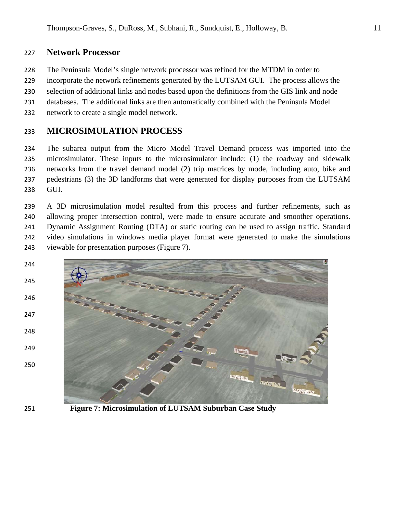#### **Network Processor** 227

- The Peninsula Model's single network processor was refined for the MTDM in order to 228
- incorporate the network refinements generated by the LUTSAM GUI. The process allows the 229
- selection of additional links and nodes based upon the definitions from the GIS link and node 230
- databases. The additional links are then automatically combined with the Peninsula Model 231
- network to create a single model network. 232

#### **MICROSIMULATION PROCESS** 233

The subarea output from the Micro Model Travel Demand process was imported into the 234 microsimulator. These inputs to the microsimulator include: (1) the roadway and sidewalk 235 networks from the travel demand model (2) trip matrices by mode, including auto, bike and 236 pedestrians (3) the 3D landforms that were generated for display purposes from the LUTSAM 237 GUI. 238

239 A 3D microsimulation model resulted from this process and further refinements, such as allowing proper intersection control, were made to ensure accurate and smoother operations. 240 Dynamic Assignment Routing (DTA) or static routing can be used to assign traffic. Standard 241 video simulations in windows media player format were generated to make the simulations 242 viewable for presentation purposes (Figure 7). 243





**Figure 7: Microsimulation of LUTSAM Suburban Case Study**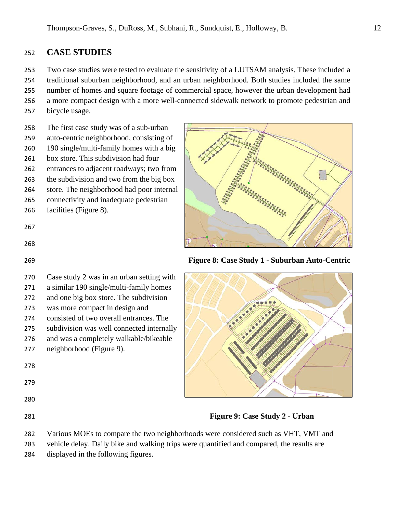#### 252 **CASE S STUDIES S**

253 Two case studies were tested to evaluate the sensitivity of a LUTSAM analysis. These included a

254 255 traditional suburban neighborhood, and an urban neighborhood. Both studies included the same

256 number of homes and square footage of commercial space, however the urban development had a more compact design with a more well-connected sidewalk network to promote pedestrian and

257 bicycle u usage.

258 The first case study was of a sub-urban

- 259 auto-centric neighborhood, consisting of
- 260 190 single/multi-family homes with a big
- 261 box store. This subdivision had four
- 262 entrances to adjacent roadways; two from
- 263 the subdivision and two from the big box
- 264 store. The neighborhood had poor internal
- 265 connectivity and inadequate pedestrian
- 266 facilities (Figure 8).

267

- 268
- 269
- 270 Case study 2 was in an urban setting with
- 271 a similar 190 single/multi-family homes
- 272 and one b big box store e. The subdi vision
- 273 was more compact in design and
- 274 was more compact in design and<br>consisted of two overall entrances. The
- 275 subdivision was well connected internally
- 276 and was a completely y walkable/b bikeable
- 277 neighborhood (Figure 9).

- 279
- 
- 280
- 281



**Figure 8: C Case Study 1 - Suburba an Auto-Ce entric** 



**Figu ure 9: Case Study 2 - U Urban**

- 282 Various MOEs to compare the two neighborhoods were considered such as VHT, VMT and
- 283 vehicle delay. Daily bike and walking trips were quantified and compared, the results are
- 284 displayed in the following figures.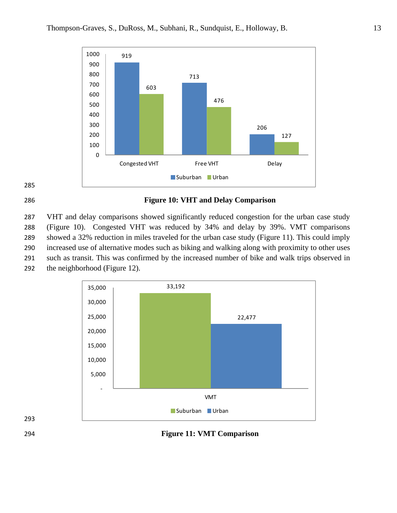

### 

### **Figure 10: VHT and Delay Comparison**

 VHT and delay comparisons showed significantly reduced congestion for the urban case study (Figure 10). Congested VHT was reduced by 34% and delay by 39%. VMT comparisons showed a 32% reduction in miles traveled for the urban case study (Figure 11). This could imply increased use of alternative modes such as biking and walking along with proximity to other uses such as transit. This was confirmed by the increased number of bike and walk trips observed in the neighborhood (Figure 12).



**Figure 11: VMT Comparison**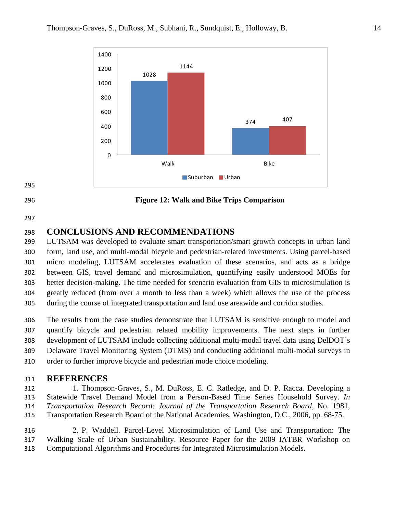





### **Figure 12: Walk and Bike Trips Comparison**

# **CONCLUSIONS AND RECOMMENDATIONS**

 LUTSAM was developed to evaluate smart transportation/smart growth concepts in urban land form, land use, and multi-modal bicycle and pedestrian-related investments. Using parcel-based micro modeling, LUTSAM accelerates evaluation of these scenarios, and acts as a bridge between GIS, travel demand and microsimulation, quantifying easily understood MOEs for better decision-making. The time needed for scenario evaluation from GIS to microsimulation is greatly reduced (from over a month to less than a week) which allows the use of the process during the course of integrated transportation and land use areawide and corridor studies.

 The results from the case studies demonstrate that LUTSAM is sensitive enough to model and quantify bicycle and pedestrian related mobility improvements. The next steps in further development of LUTSAM include collecting additional multi-modal travel data using DelDOT's Delaware Travel Monitoring System (DTMS) and conducting additional multi-modal surveys in order to further improve bicycle and pedestrian mode choice modeling.

## **REFERENCES**

 1. Thompson-Graves, S., M. DuRoss, E. C. Ratledge, and D. P. Racca. Developing a Statewide Travel Demand Model from a Person-Based Time Series Household Survey. *In Transportation Research Record: Journal of the Transportation Research Board*, No. 1981, Transportation Research Board of the National Academies, Washington, D.C., 2006, pp. 68-75.

 2. P. Waddell. Parcel-Level Microsimulation of Land Use and Transportation: The Walking Scale of Urban Sustainability. Resource Paper for the 2009 IATBR Workshop on Computational Algorithms and Procedures for Integrated Microsimulation Models.